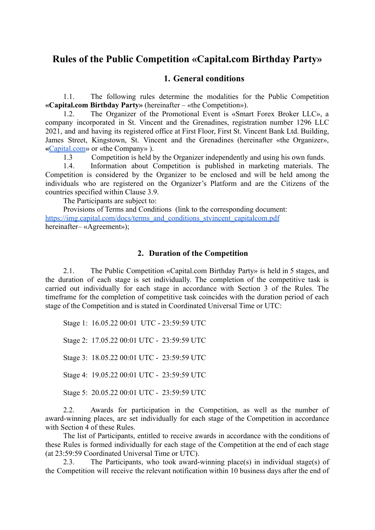# **Rules of the Public Competition «Capital.com Birthday Party»**

#### **1. General conditions**

1.1. The following rules determine the modalities for the Public Competition **«Capital.com Birthday Party»** (hereinafter – «the Competition»).

1.2. The Organizer of the Promotional Event is «Smart Forex Broker LLC», a company incorporated in St. Vincent and the Grenadines, registration number 1296 LLC 2021, and апd having its registered office at First Floor, First St. Vincent Ваnk Ltd. Building, James Street, Kingstown, St. Vincent and the Grenadines (hereinafter «the Organizer», **«**[Capital.com](http://capital.com)» or «the Company» ).

1.3 Competition is held by the Organizer independently and using his own funds.

1.4. Information about Competition is published in marketing materials. The Competition is considered by the Organizer to be enclosed and will be held among the individuals who are registered on the Organizer's Platform and are the Citizens of the countries specified within Clause 3.9.

The Participants are subject to:

Provisions of Terms and Conditions (link to the corresponding document: [https://img.capital.com/docs/terms\\_and\\_conditions\\_stvincent\\_capitalcom.pdf](https://img.capital.com/docs/terms_and_conditions_stvincent_capitalcom.pdf) hereinafter– «Agreement»);

#### **2. Duration of the Competition**

2.1. The Public Competition «Capital.com Birthday Party» is held in 5 stages, and the duration of each stage is set individually. The completion of the competitive task is carried out individually for each stage in accordance with Section 3 of the Rules. The timeframe for the completion of competitive task coincides with the duration period of each stage of the Competition and is stated in Coordinated Universal Time or UTC:

Stage 1: 16.05.22 00:01 UTC - 23:59:59 UTC

Stage 2: 17.05.22 00:01 UTC - 23:59:59 UTC

Stage 3: 18.05.22 00:01 UTC - 23:59:59 UTC

Stage 4: 19.05.22 00:01 UTC - 23:59:59 UTC

Stage 5: 20.05.22 00:01 UTC - 23:59:59 UTC

2.2. Awards for participation in the Competition, as well as the number of award-winning places, are set individually for each stage of the Competition in accordance with Section 4 of these Rules.

The list of Participants, entitled to receive awards in accordance with the conditions of these Rules is formed individually for each stage of the Competition at the end of each stage (at 23:59:59 Coordinated Universal Time or UTC).

2.3. The Participants, who took award-winning place(s) in individual stage(s) of the Competition will receive the relevant notification within 10 business days after the end of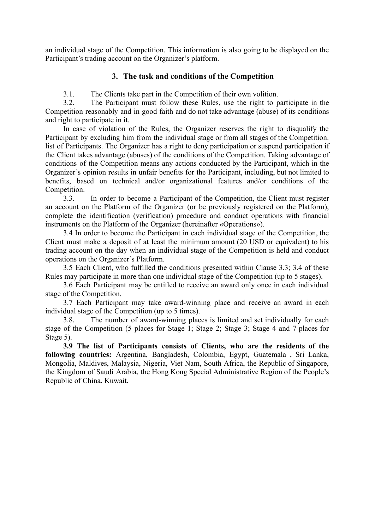an individual stage of the Competition. This information is also going to be displayed on the Participant's trading account on the Organizer's platform.

#### **3. The task and conditions of the Competition**

3.1. The Clients take part in the Competition of their own volition.

3.2. The Participant must follow these Rules, use the right to participate in the Competition reasonably and in good faith and do not take advantage (abuse) of its conditions and right to participate in it.

In case of violation of the Rules, the Organizer reserves the right to disqualify the Participant by excluding him from the individual stage or from all stages of the Competition. list of Participants. The Organizer has a right to deny participation or suspend participation if the Client takes advantage (abuses) of the conditions of the Competition. Taking advantage of conditions of the Competition means any actions conducted by the Participant, which in the Organizer's opinion results in unfair benefits for the Participant, including, but not limited to benefits, based on technical and/or organizational features and/or conditions of the Competition.

3.3. In order to become a Participant of the Competition, the Client must register an account on the Platform of the Organizer (or be previously registered on the Platform), complete the identification (verification) procedure and conduct operations with financial instruments on the Platform of the Organizer (hereinafter «Operations»).

3.4 In order to become the Participant in each individual stage of the Competition, the Client must make a deposit of at least the minimum amount (20 USD or equivalent) to his trading account on the day when an individual stage of the Competition is held and conduct operations on the Organizer's Platform.

3.5 Each Client, who fulfilled the conditions presented within Clause 3.3; 3.4 of these Rules may participate in more than one individual stage of the Competition (up to 5 stages).

3.6 Each Participant may be entitled to receive an award only once in each individual stage of the Competition.

3.7 Each Participant may take award-winning place and receive an award in each individual stage of the Competition (up to 5 times).

3.8. The number of award-winning places is limited and set individually for each stage of the Competition (5 places for Stage 1; Stage 2; Stage 3; Stage 4 and 7 places for Stage 5).

**3.9 The list of Participants consists of Clients, who are the residents of the following countries:** Argentina, Bangladesh, Colombia, Egypt, Guatemala , Sri Lanka, Mongolia, Maldives, Malaysia, Nigeria, Viet Nam, South Africa, the Republic of Singapore, the Kingdom of Saudi Arabia, the Hong Kong Special Administrative Region of the People's Republic of China, Kuwait.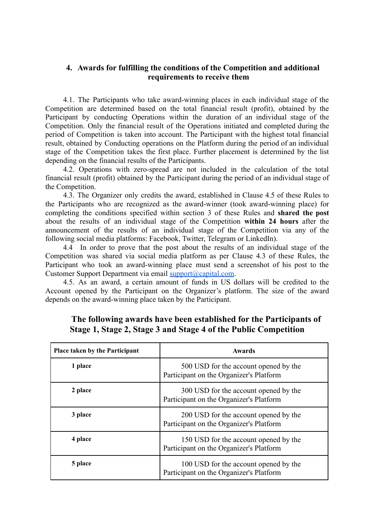### **4. Awards for fulfilling the conditions of the Competition and additional requirements to receive them**

4.1. The Participants who take award-winning places in each individual stage of the Competition are determined based on the total financial result (profit), obtained by the Participant by conducting Operations within the duration of an individual stage of the Competition. Only the financial result of the Operations initiated and completed during the period of Competition is taken into account. The Participant with the highest total financial result, obtained by Conducting operations on the Platform during the period of an individual stage of the Competition takes the first place. Further placement is determined by the list depending on the financial results of the Participants.

4.2. Operations with zero-spread are not included in the calculation of the total financial result (profit) obtained by the Participant during the period of an individual stage of the Competition.

4.3. The Organizer only credits the award, established in Clause 4.5 of these Rules to the Participants who are recognized as the award-winner (took award-winning place) for completing the conditions specified within section 3 of these Rules and **shared the post** about the results of an individual stage of the Competition **within 24 hours** after the announcement of the results of an individual stage of the Competition via any of the following social media platforms: Facebook, Twitter, Telegram or LinkedIn).

4.4 In order to prove that the post about the results of an individual stage of the Competition was shared via social media platform as per Clause 4.3 of these Rules, the Participant who took an award-winning place must send a screenshot of his post to the Customer Support Department via email [support@capital.com](mailto:support@capital.com).

4.5. As an award, a certain amount of funds in US dollars will be credited to the Account opened by the Participant on the Organizer's platform. The size of the award depends on the award-winning place taken by the Participant.

| <b>Place taken by the Participant</b> | <b>Awards</b>                                                                    |
|---------------------------------------|----------------------------------------------------------------------------------|
| 1 place                               | 500 USD for the account opened by the<br>Participant on the Organizer's Platform |
| 2 place                               | 300 USD for the account opened by the<br>Participant on the Organizer's Platform |
| 3 place                               | 200 USD for the account opened by the<br>Participant on the Organizer's Platform |
| 4 place                               | 150 USD for the account opened by the<br>Participant on the Organizer's Platform |
| 5 place                               | 100 USD for the account opened by the<br>Participant on the Organizer's Platform |

## **The following awards have been established for the Participants of Stage 1, Stage 2, Stage 3 and Stage 4 of the Public Competition**